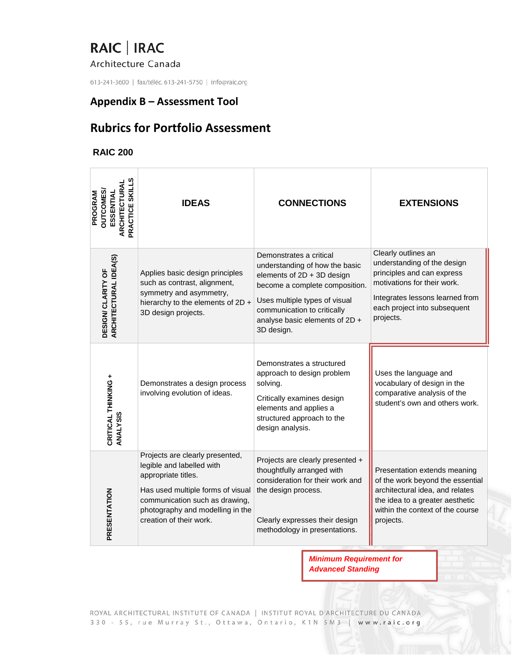#### Architecture Canada

613-241-3600 | fax/téléc. 613-241-5750 | info@raic.org

### **Appendix B – Assessment Tool**

## **Rubrics for Portfolio Assessment**

#### **RAIC 200**

| PRACTICE SKILL<br><b>ARCHITECTURA</b><br><b>OUTCOMES</b><br>PROGRAM<br>ESSENTIA | <b>IDEAS</b>                                                                                                                                                                                                              | <b>CONNECTIONS</b>                                                                                                                                                                                                                        | <b>EXTENSIONS</b>                                                                                                                                                                               |
|---------------------------------------------------------------------------------|---------------------------------------------------------------------------------------------------------------------------------------------------------------------------------------------------------------------------|-------------------------------------------------------------------------------------------------------------------------------------------------------------------------------------------------------------------------------------------|-------------------------------------------------------------------------------------------------------------------------------------------------------------------------------------------------|
| ARCHITECTURAL IDEA(S)<br>$\overline{6}$<br>DESIGN/ CLARITY                      | Applies basic design principles<br>such as contrast, alignment,<br>symmetry and asymmetry,<br>hierarchy to the elements of 2D +<br>3D design projects.                                                                    | Demonstrates a critical<br>understanding of how the basic<br>elements of 2D + 3D design<br>become a complete composition.<br>Uses multiple types of visual<br>communication to critically<br>analyse basic elements of 2D +<br>3D design. | Clearly outlines an<br>understanding of the design<br>principles and can express<br>motivations for their work.<br>Integrates lessons learned from<br>each project into subsequent<br>projects. |
| CRITICAL THINKING +<br>ANALYSIS                                                 | Demonstrates a design process<br>involving evolution of ideas.                                                                                                                                                            | Demonstrates a structured<br>approach to design problem<br>solving.<br>Critically examines design<br>elements and applies a<br>structured approach to the<br>design analysis.                                                             | Uses the language and<br>vocabulary of design in the<br>comparative analysis of the<br>student's own and others work.                                                                           |
| PRESENTATION                                                                    | Projects are clearly presented,<br>legible and labelled with<br>appropriate titles.<br>Has used multiple forms of visual<br>communication such as drawing,<br>photography and modelling in the<br>creation of their work. | Projects are clearly presented +<br>thoughtfully arranged with<br>consideration for their work and<br>the design process.<br>Clearly expresses their design<br>methodology in presentations.                                              | Presentation extends meaning<br>of the work beyond the essential<br>architectural idea, and relates<br>the idea to a greater aesthetic<br>within the context of the course<br>projects.         |

*Minimum Requirement for Advanced Standing*

ROYAL ARCHITECTURAL INSTITUTE OF CANADA | INSTITUT ROYAL D'ARCHITECTURE DU CANADA 330 - 55, rue Murray St., Ottawa, Ontario, K1N 5M3 | www.raic.org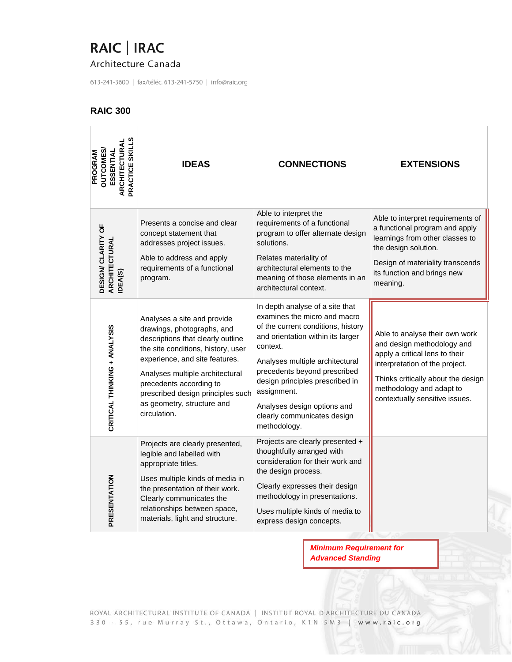Architecture Canada

613-241-3600 | fax/téléc. 613-241-5750 | info@raic.org

### **RAIC 300**

| PRACTICE SKILL<br><b>ARCHITECTURA</b><br><b>DUTCOMES</b><br>ESSENTIAL<br>PROGRAM | <b>IDEAS</b>                                                                                                                                                                                                                                                                                                            | <b>CONNECTIONS</b>                                                                                                                                                                                                                                                                                                                                        | <b>EXTENSIONS</b>                                                                                                                                                                                                                    |
|----------------------------------------------------------------------------------|-------------------------------------------------------------------------------------------------------------------------------------------------------------------------------------------------------------------------------------------------------------------------------------------------------------------------|-----------------------------------------------------------------------------------------------------------------------------------------------------------------------------------------------------------------------------------------------------------------------------------------------------------------------------------------------------------|--------------------------------------------------------------------------------------------------------------------------------------------------------------------------------------------------------------------------------------|
| DESIGN/ CLARITY OF<br>ARCHITECTURAL<br>DEA(S)                                    | Presents a concise and clear<br>concept statement that<br>addresses project issues.<br>Able to address and apply<br>requirements of a functional<br>program.                                                                                                                                                            | Able to interpret the<br>requirements of a functional<br>program to offer alternate design<br>solutions.<br>Relates materiality of<br>architectural elements to the<br>meaning of those elements in an<br>architectural context.                                                                                                                          | Able to interpret requirements of<br>a functional program and apply<br>learnings from other classes to<br>the design solution.<br>Design of materiality transcends<br>its function and brings new<br>meaning.                        |
| CRITICAL THINKING + ANALYSIS                                                     | Analyses a site and provide<br>drawings, photographs, and<br>descriptions that clearly outline<br>the site conditions, history, user<br>experience, and site features.<br>Analyses multiple architectural<br>precedents according to<br>prescribed design principles such<br>as geometry, structure and<br>circulation. | In depth analyse of a site that<br>examines the micro and macro<br>of the current conditions, history<br>and orientation within its larger<br>context.<br>Analyses multiple architectural<br>precedents beyond prescribed<br>design principles prescribed in<br>assignment.<br>Analyses design options and<br>clearly communicates design<br>methodology. | Able to analyse their own work<br>and design methodology and<br>apply a critical lens to their<br>interpretation of the project.<br>Thinks critically about the design<br>methodology and adapt to<br>contextually sensitive issues. |
| PRESENTATION                                                                     | Projects are clearly presented,<br>legible and labelled with<br>appropriate titles.<br>Uses multiple kinds of media in<br>the presentation of their work.<br>Clearly communicates the<br>relationships between space,<br>materials, light and structure.                                                                | Projects are clearly presented +<br>thoughtfully arranged with<br>consideration for their work and<br>the design process.<br>Clearly expresses their design<br>methodology in presentations.<br>Uses multiple kinds of media to<br>express design concepts.                                                                                               |                                                                                                                                                                                                                                      |

*Minimum Requirement for Advanced Standing*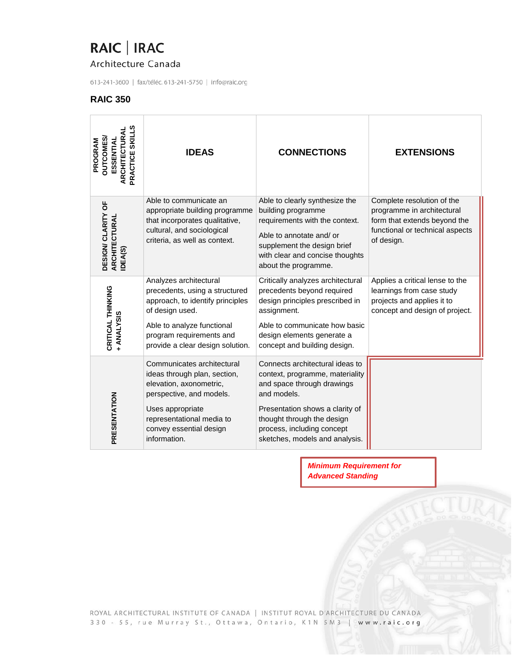### Architecture Canada

613-241-3600 | fax/téléc. 613-241-5750 | info@raic.org

#### **RAIC 350**

| PRACTICE SKILLS<br>ARCHITECTURAI<br><b>DUTCOMES</b><br>ESSENTIAL<br>PROGRAM | <b>IDEAS</b>                                                                                                                                                                                                  | <b>CONNECTIONS</b>                                                                                                                                                                                                                               | <b>EXTENSIONS</b>                                                                                                                         |
|-----------------------------------------------------------------------------|---------------------------------------------------------------------------------------------------------------------------------------------------------------------------------------------------------------|--------------------------------------------------------------------------------------------------------------------------------------------------------------------------------------------------------------------------------------------------|-------------------------------------------------------------------------------------------------------------------------------------------|
| DESIGN/ CLARITY OF<br>ARCHITECTURAL<br>IDEA(S)                              | Able to communicate an<br>appropriate building programme<br>that incorporates qualitative,<br>cultural, and sociological<br>criteria, as well as context.                                                     | Able to clearly synthesize the<br>building programme<br>requirements with the context.<br>Able to annotate and/or<br>supplement the design brief<br>with clear and concise thoughts<br>about the programme.                                      | Complete resolution of the<br>programme in architectural<br>form that extends beyond the<br>functional or technical aspects<br>of design. |
| CRITICAL THINKING<br>+ ANALYSIS                                             | Analyzes architectural<br>precedents, using a structured<br>approach, to identify principles<br>of design used.<br>Able to analyze functional<br>program requirements and<br>provide a clear design solution. | Critically analyzes architectural<br>precedents beyond required<br>design principles prescribed in<br>assignment.<br>Able to communicate how basic<br>design elements generate a<br>concept and building design.                                 | Applies a critical lense to the<br>learnings from case study<br>projects and applies it to<br>concept and design of project.              |
| PRESENTATION                                                                | Communicates architectural<br>ideas through plan, section,<br>elevation, axonometric,<br>perspective, and models.<br>Uses appropriate<br>representational media to<br>convey essential design<br>information. | Connects architectural ideas to<br>context, programme, materiality<br>and space through drawings<br>and models.<br>Presentation shows a clarity of<br>thought through the design<br>process, including concept<br>sketches, models and analysis. |                                                                                                                                           |

*Minimum Requirement for Advanced Standing*

ROYAL ARCHITECTURAL INSTITUTE OF CANADA | INSTITUT ROYAL D'ARCHITECTURE DU CANADA 330 - 55, rue Murray St., Ottawa, Ontario, K1N 5M3 | www.raic.org